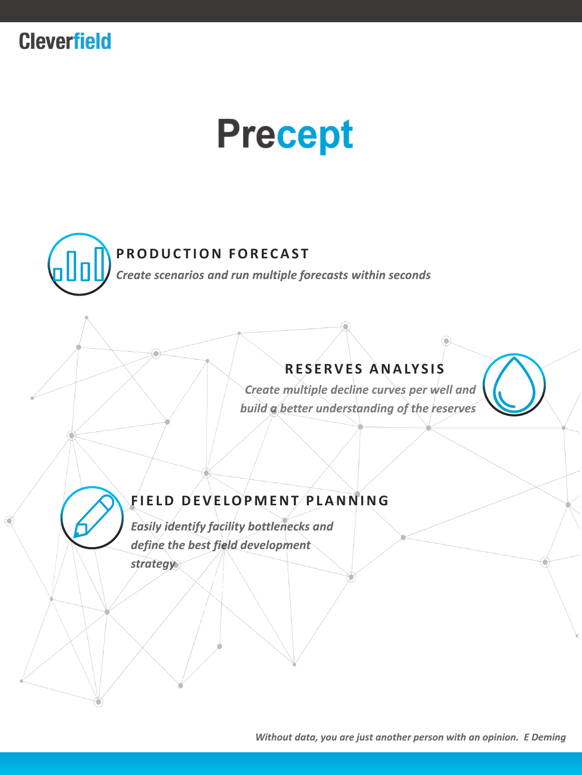

# **Precept**



#### **PRODUCTION FORECAST**

Create scenarios and run multiple forecasts within seconds

### **R E S E R V E S A N A LY S I S**

Create multiple decline curves per well and build a better understanding of the reserves

#### **F I E L D D E V E L O P M E N T P L A N N I N G**

Easily identify facility bottlenecks and define the best field development

strategy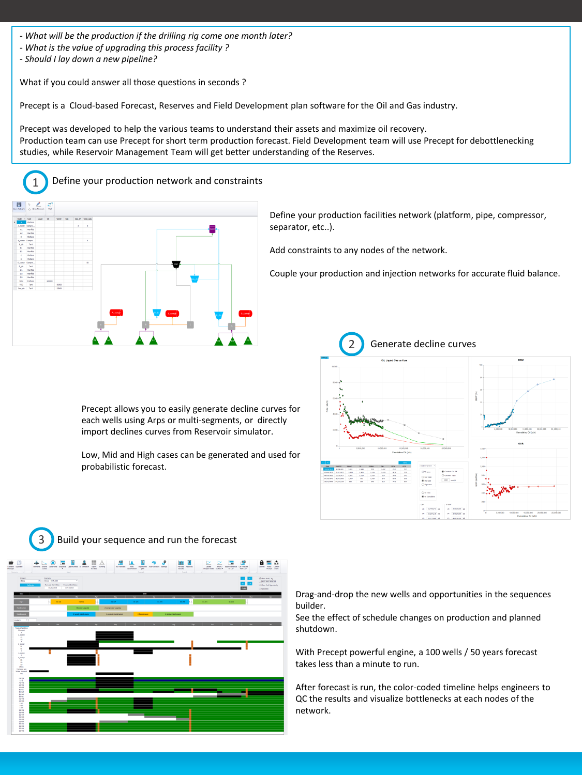- *- What will be the production if the drilling rig come one month later?*
- *- What is the value of upgrading this process facility ?*
- *- Should I lay down a new pipeline?*

What if you could answer all those questions in seconds ?

Precept is a Cloud-based Forecast, Reserves and Field Development plan software for the Oil and Gas industry.

Precept was developed to help the various teams to understand their assets and maximize oil recovery. Production team can use Precept for short term production forecast. Field Development team will use Precept for debottlenecking studies, while Reservoir Management Team will get better understanding of the Reserves.

#### 1 Define your production network and constraints



Define your production facilities network (platform, pipe, compressor, separator, etc..).

Add constraints to any nodes of the network.

Couple your production and injection networks for accurate fluid balance.

Precept allows you to easily generate decline curves for each wells using Arps or multi-segments, or directly import declines curves from Reservoir simulator.

Low, Mid and High cases can be generated and used for probabilistic forecast.







Drag-and-drop the new wells and opportunities in the sequences builder.

See the effect of schedule changes on production and planned shutdown.

With Precept powerful engine, a 100 wells / 50 years forecast takes less than a minute to run.

After forecast is run, the color-coded timeline helps engineers to QC the results and visualize bottlenecks at each nodes of the network.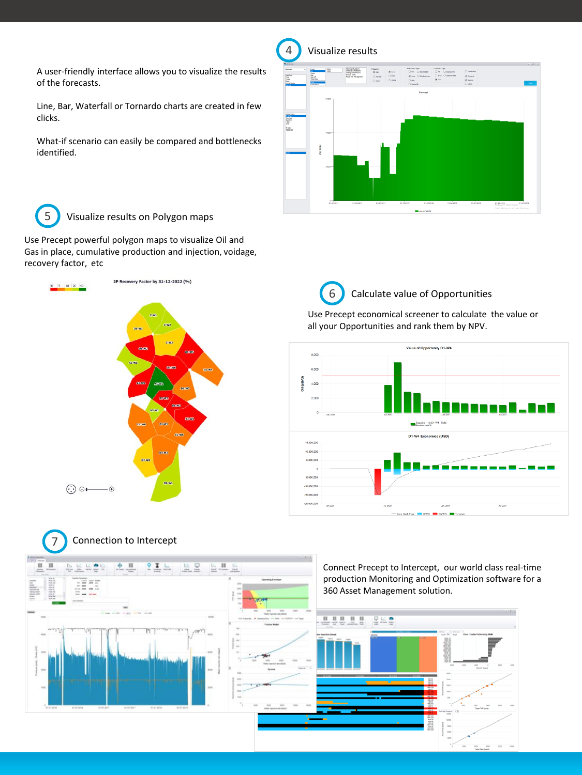A user-friendly interface allows you to visualize the results of the forecasts.

Line, Bar, Waterfall or Tornardo charts are created in few clicks.

What-if scenario can easily be compared and bottlenecks identified.



5 Visualize results on Polygon maps

Use Precept powerful polygon maps to visualize Oil and Gas in place, cumulative production and injection, voidage, recovery factor, etc



## 6 Calculate value of Opportunities

Use Precept economical screener to calculate the value or all your Opportunities and rank them by NPV.



7 Connection to Intercept b k ka  $\oplus$ 요새부 u  $\overline{\mathbf{H}}$  $9$   $\overline{8}$   $\overline{1}$  $= 2$ Connect Precept to Intercept, our world class real-time production Monitoring and Optimization software for a in in I III lit 360 Asset Management solution.0.0000 星兰皇